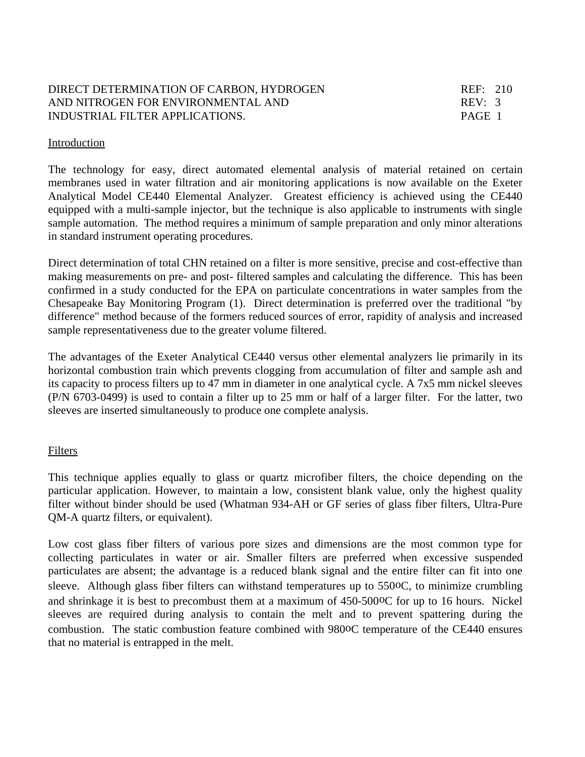## DIRECT DETERMINATION OF CARBON, HYDROGEN REF: 210 AND NITROGEN FOR ENVIRONMENTAL AND REV: 3 INDUSTRIAL FILTER APPLICATIONS. PAGE 1

#### Introduction

The technology for easy, direct automated elemental analysis of material retained on certain membranes used in water filtration and air monitoring applications is now available on the Exeter Analytical Model CE440 Elemental Analyzer. Greatest efficiency is achieved using the CE440 equipped with a multi-sample injector, but the technique is also applicable to instruments with single sample automation. The method requires a minimum of sample preparation and only minor alterations in standard instrument operating procedures.

Direct determination of total CHN retained on a filter is more sensitive, precise and cost-effective than making measurements on pre- and post- filtered samples and calculating the difference. This has been confirmed in a study conducted for the EPA on particulate concentrations in water samples from the Chesapeake Bay Monitoring Program (1). Direct determination is preferred over the traditional "by difference" method because of the formers reduced sources of error, rapidity of analysis and increased sample representativeness due to the greater volume filtered.

The advantages of the Exeter Analytical CE440 versus other elemental analyzers lie primarily in its horizontal combustion train which prevents clogging from accumulation of filter and sample ash and its capacity to process filters up to 47 mm in diameter in one analytical cycle. A 7x5 mm nickel sleeves (P/N 6703-0499) is used to contain a filter up to 25 mm or half of a larger filter. For the latter, two sleeves are inserted simultaneously to produce one complete analysis.

#### Filters

This technique applies equally to glass or quartz microfiber filters, the choice depending on the particular application. However, to maintain a low, consistent blank value, only the highest quality filter without binder should be used (Whatman 934-AH or GF series of glass fiber filters, Ultra-Pure QM-A quartz filters, or equivalent).

Low cost glass fiber filters of various pore sizes and dimensions are the most common type for collecting particulates in water or air. Smaller filters are preferred when excessive suspended particulates are absent; the advantage is a reduced blank signal and the entire filter can fit into one sleeve. Although glass fiber filters can withstand temperatures up to 550oC, to minimize crumbling and shrinkage it is best to precombust them at a maximum of 450-500oC for up to 16 hours. Nickel sleeves are required during analysis to contain the melt and to prevent spattering during the combustion. The static combustion feature combined with 980oC temperature of the CE440 ensures that no material is entrapped in the melt.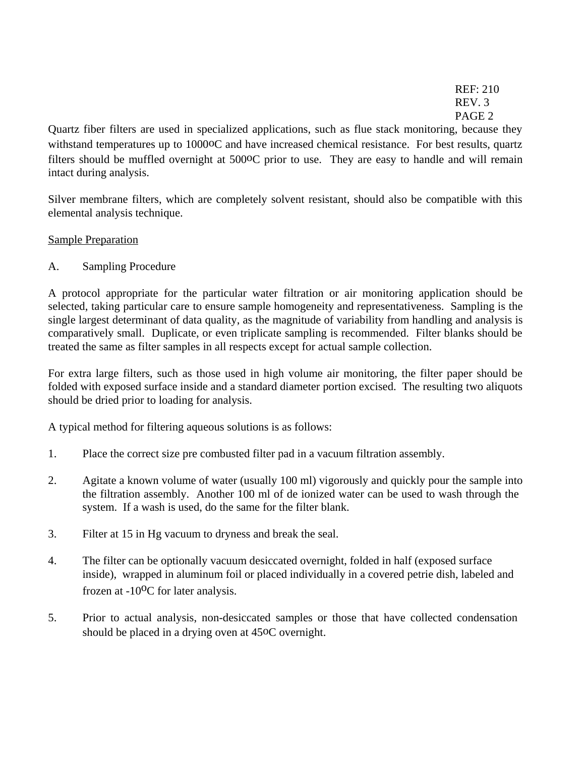REF: 210 REV. 3 PAGE 2

Quartz fiber filters are used in specialized applications, such as flue stack monitoring, because they withstand temperatures up to 10000C and have increased chemical resistance. For best results, quartz filters should be muffled overnight at 500oC prior to use. They are easy to handle and will remain intact during analysis.

Silver membrane filters, which are completely solvent resistant, should also be compatible with this elemental analysis technique.

# Sample Preparation

A. Sampling Procedure

A protocol appropriate for the particular water filtration or air monitoring application should be selected, taking particular care to ensure sample homogeneity and representativeness. Sampling is the single largest determinant of data quality, as the magnitude of variability from handling and analysis is comparatively small. Duplicate, or even triplicate sampling is recommended. Filter blanks should be treated the same as filter samples in all respects except for actual sample collection.

For extra large filters, such as those used in high volume air monitoring, the filter paper should be folded with exposed surface inside and a standard diameter portion excised. The resulting two aliquots should be dried prior to loading for analysis.

A typical method for filtering aqueous solutions is as follows:

- 1. Place the correct size pre combusted filter pad in a vacuum filtration assembly.
- 2. Agitate a known volume of water (usually 100 ml) vigorously and quickly pour the sample into the filtration assembly. Another 100 ml of de ionized water can be used to wash through the system. If a wash is used, do the same for the filter blank.
- 3. Filter at 15 in Hg vacuum to dryness and break the seal.
- 4. The filter can be optionally vacuum desiccated overnight, folded in half (exposed surface inside), wrapped in aluminum foil or placed individually in a covered petrie dish, labeled and frozen at -10<sup>o</sup>C for later analysis.
- 5. Prior to actual analysis, non-desiccated samples or those that have collected condensation should be placed in a drying oven at 45oC overnight.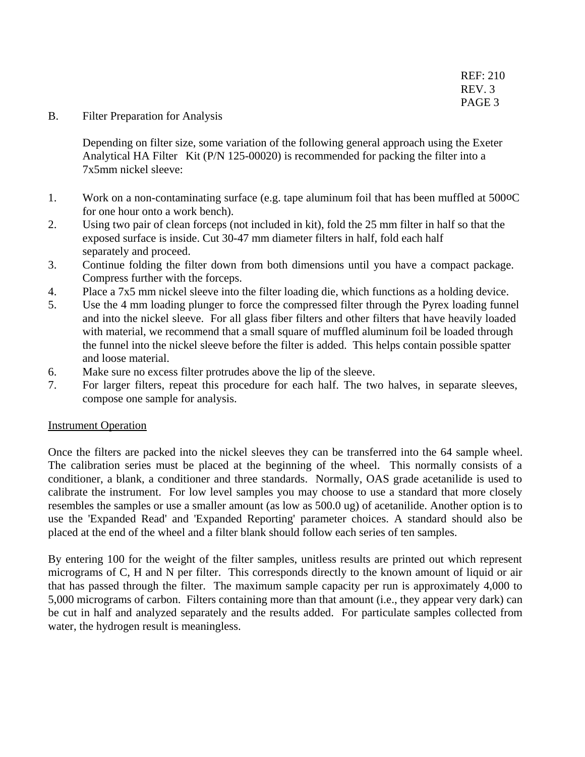B. Filter Preparation for Analysis

Depending on filter size, some variation of the following general approach using the Exeter Analytical HA Filter Kit (P/N 125-00020) is recommended for packing the filter into a 7x5mm nickel sleeve:

- 1. Work on a non-contaminating surface (e.g. tape aluminum foil that has been muffled at 500oC for one hour onto a work bench).
- 2. Using two pair of clean forceps (not included in kit), fold the 25 mm filter in half so that the exposed surface is inside. Cut 30-47 mm diameter filters in half, fold each half separately and proceed.
- 3. Continue folding the filter down from both dimensions until you have a compact package. Compress further with the forceps.
- 4. Place a 7x5 mm nickel sleeve into the filter loading die, which functions as a holding device.
- 5. Use the 4 mm loading plunger to force the compressed filter through the Pyrex loading funnel and into the nickel sleeve. For all glass fiber filters and other filters that have heavily loaded with material, we recommend that a small square of muffled aluminum foil be loaded through the funnel into the nickel sleeve before the filter is added. This helps contain possible spatter and loose material.
- 6. Make sure no excess filter protrudes above the lip of the sleeve.
- 7. For larger filters, repeat this procedure for each half. The two halves, in separate sleeves, compose one sample for analysis.

#### Instrument Operation

Once the filters are packed into the nickel sleeves they can be transferred into the 64 sample wheel. The calibration series must be placed at the beginning of the wheel. This normally consists of a conditioner, a blank, a conditioner and three standards. Normally, OAS grade acetanilide is used to calibrate the instrument. For low level samples you may choose to use a standard that more closely resembles the samples or use a smaller amount (as low as 500.0 ug) of acetanilide. Another option is to use the 'Expanded Read' and 'Expanded Reporting' parameter choices. A standard should also be placed at the end of the wheel and a filter blank should follow each series of ten samples.

By entering 100 for the weight of the filter samples, unitless results are printed out which represent micrograms of C, H and N per filter. This corresponds directly to the known amount of liquid or air that has passed through the filter. The maximum sample capacity per run is approximately 4,000 to 5,000 micrograms of carbon. Filters containing more than that amount (i.e., they appear very dark) can be cut in half and analyzed separately and the results added. For particulate samples collected from water, the hydrogen result is meaningless.